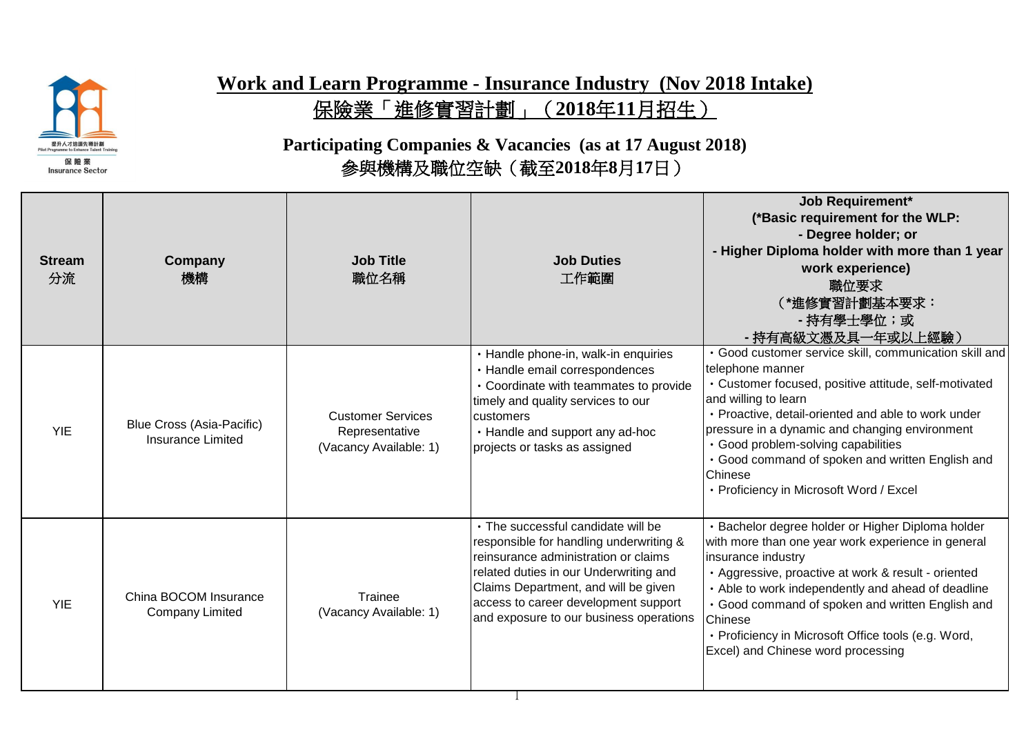

## **Work and Learn Programme - Insurance Industry (Nov 2018 Intake)** 保險業「進修實習計劃」(**2018**年**11**月招生)

## **Participating Companies & Vacancies (as at 17 August 2018)** 參與機構及職位空缺(截至**2018**年**8**月**17**日)

| <b>Stream</b><br>分流 | Company<br>機構                                         | <b>Job Title</b><br>職位名稱                                             | <b>Job Duties</b><br>工作範圍                                                                                                                                                                                                                                                                  | <b>Job Requirement*</b><br>(*Basic requirement for the WLP:<br>- Degree holder; or<br>- Higher Diploma holder with more than 1 year<br>work experience)<br>職位要求<br>(*進修實習計劃基本要求:<br>- 持有學士學位;或<br>- 持有高級文憑及具一年或以上經驗)                                                                                                                                                                                                  |
|---------------------|-------------------------------------------------------|----------------------------------------------------------------------|--------------------------------------------------------------------------------------------------------------------------------------------------------------------------------------------------------------------------------------------------------------------------------------------|-----------------------------------------------------------------------------------------------------------------------------------------------------------------------------------------------------------------------------------------------------------------------------------------------------------------------------------------------------------------------------------------------------------------------|
| <b>YIE</b>          | <b>Blue Cross (Asia-Pacific)</b><br>Insurance Limited | <b>Customer Services</b><br>Representative<br>(Vacancy Available: 1) | · Handle phone-in, walk-in enquiries<br>· Handle email correspondences<br>• Coordinate with teammates to provide<br>timely and quality services to our<br>customers<br>• Handle and support any ad-hoc<br>projects or tasks as assigned                                                    | · Good customer service skill, communication skill and<br>telephone manner<br>· Customer focused, positive attitude, self-motivated<br>and willing to learn<br>· Proactive, detail-oriented and able to work under<br>pressure in a dynamic and changing environment<br>· Good problem-solving capabilities<br>• Good command of spoken and written English and<br>Chinese<br>• Proficiency in Microsoft Word / Excel |
| <b>YIE</b>          | China BOCOM Insurance<br><b>Company Limited</b>       | Trainee<br>(Vacancy Available: 1)                                    | • The successful candidate will be<br>responsible for handling underwriting &<br>reinsurance administration or claims<br>related duties in our Underwriting and<br>Claims Department, and will be given<br>access to career development support<br>and exposure to our business operations | · Bachelor degree holder or Higher Diploma holder<br>with more than one year work experience in general<br>insurance industry<br>· Aggressive, proactive at work & result - oriented<br>• Able to work independently and ahead of deadline<br>• Good command of spoken and written English and<br>Chinese<br>· Proficiency in Microsoft Office tools (e.g. Word,<br>Excel) and Chinese word processing                |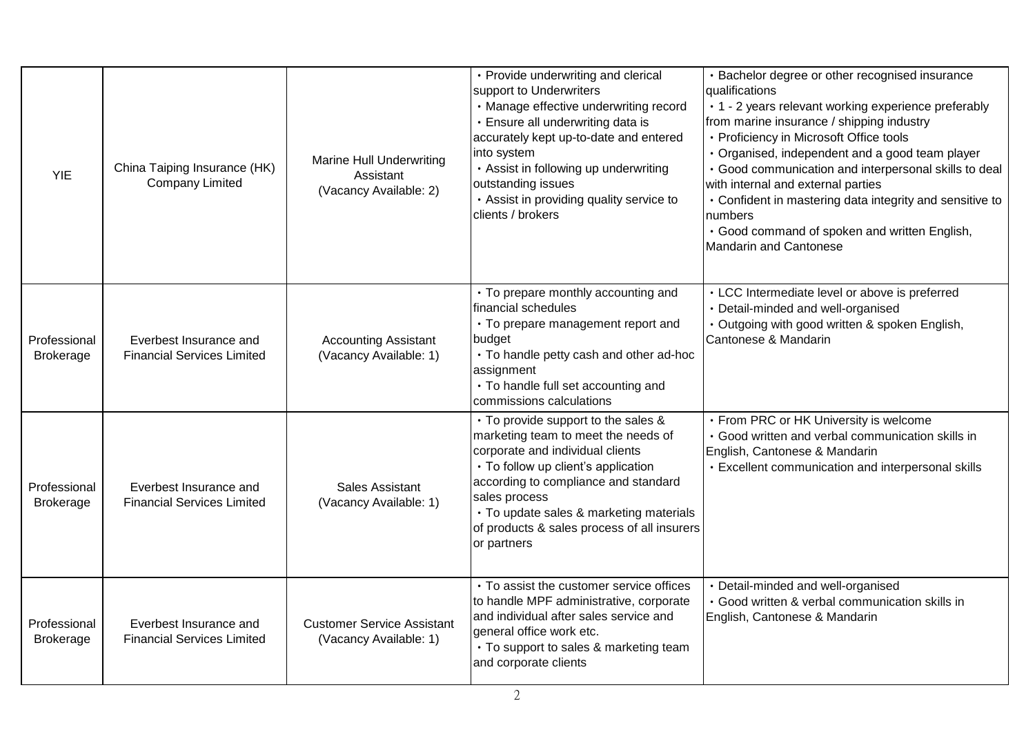| <b>YIE</b>                       | China Taiping Insurance (HK)<br><b>Company Limited</b>      | <b>Marine Hull Underwriting</b><br>Assistant<br>(Vacancy Available: 2) | • Provide underwriting and clerical<br>support to Underwriters<br>· Manage effective underwriting record<br>· Ensure all underwriting data is<br>accurately kept up-to-date and entered<br>into system<br>• Assist in following up underwriting<br>outstanding issues<br>• Assist in providing quality service to<br>clients / brokers | · Bachelor degree or other recognised insurance<br>qualifications<br>• 1 - 2 years relevant working experience preferably<br>from marine insurance / shipping industry<br>• Proficiency in Microsoft Office tools<br>· Organised, independent and a good team player<br>· Good communication and interpersonal skills to deal<br>with internal and external parties<br>• Confident in mastering data integrity and sensitive to<br>numbers<br>· Good command of spoken and written English,<br>Mandarin and Cantonese |
|----------------------------------|-------------------------------------------------------------|------------------------------------------------------------------------|----------------------------------------------------------------------------------------------------------------------------------------------------------------------------------------------------------------------------------------------------------------------------------------------------------------------------------------|-----------------------------------------------------------------------------------------------------------------------------------------------------------------------------------------------------------------------------------------------------------------------------------------------------------------------------------------------------------------------------------------------------------------------------------------------------------------------------------------------------------------------|
| Professional<br><b>Brokerage</b> | Everbest Insurance and<br><b>Financial Services Limited</b> | <b>Accounting Assistant</b><br>(Vacancy Available: 1)                  | • To prepare monthly accounting and<br>financial schedules<br>• To prepare management report and<br>budget<br>• To handle petty cash and other ad-hoc<br>assignment<br>• To handle full set accounting and<br>commissions calculations                                                                                                 | • LCC Intermediate level or above is preferred<br>Detail-minded and well-organised<br>· Outgoing with good written & spoken English,<br>Cantonese & Mandarin                                                                                                                                                                                                                                                                                                                                                          |
| Professional<br><b>Brokerage</b> | Everbest Insurance and<br><b>Financial Services Limited</b> | Sales Assistant<br>(Vacancy Available: 1)                              | • To provide support to the sales &<br>marketing team to meet the needs of<br>corporate and individual clients<br>• To follow up client's application<br>according to compliance and standard<br>sales process<br>· To update sales & marketing materials<br>of products & sales process of all insurers<br>or partners                | • From PRC or HK University is welcome<br>Good written and verbal communication skills in<br>English, Cantonese & Mandarin<br>• Excellent communication and interpersonal skills                                                                                                                                                                                                                                                                                                                                      |
| Professional<br><b>Brokerage</b> | Everbest Insurance and<br><b>Financial Services Limited</b> | <b>Customer Service Assistant</b><br>(Vacancy Available: 1)            | • To assist the customer service offices<br>to handle MPF administrative, corporate<br>and individual after sales service and<br>general office work etc.<br>• To support to sales & marketing team<br>and corporate clients                                                                                                           | · Detail-minded and well-organised<br>· Good written & verbal communication skills in<br>English, Cantonese & Mandarin                                                                                                                                                                                                                                                                                                                                                                                                |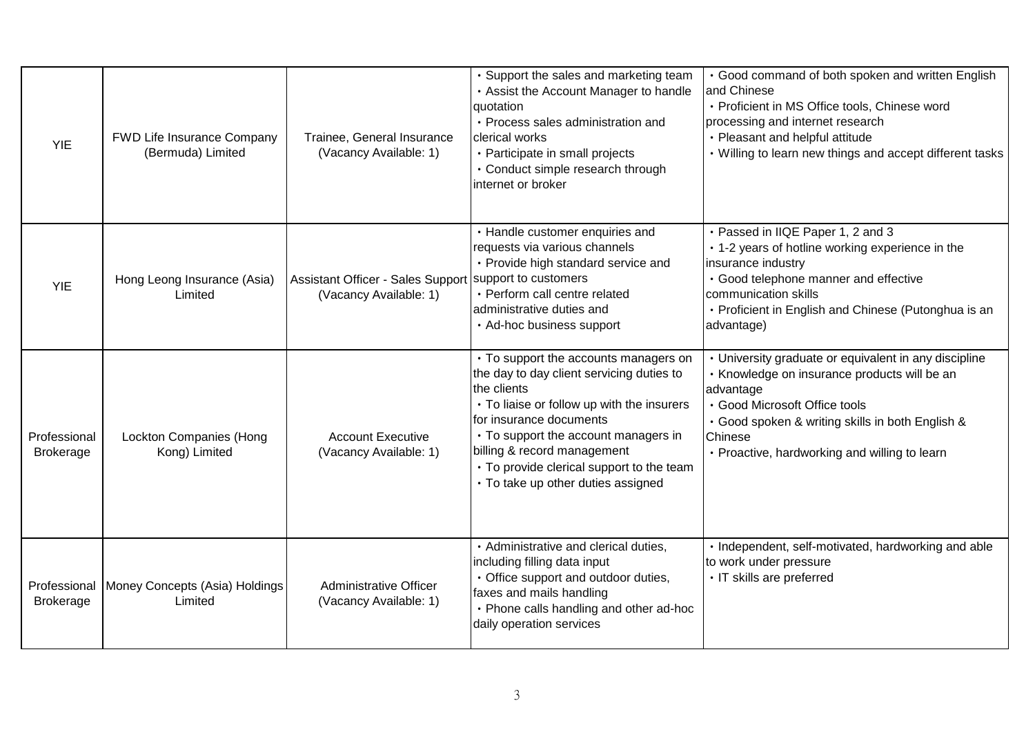| <b>YIE</b>                       | FWD Life Insurance Company<br>(Bermuda) Limited | Trainee, General Insurance<br>(Vacancy Available: 1)                             | Support the sales and marketing team<br>• Assist the Account Manager to handle<br>quotation<br>· Process sales administration and<br><b>clerical works</b><br>• Participate in small projects<br>· Conduct simple research through<br>internet or broker                                                                              | • Good command of both spoken and written English<br>and Chinese<br>· Proficient in MS Office tools, Chinese word<br>processing and internet research<br>• Pleasant and helpful attitude<br>• Willing to learn new things and accept different tasks                |
|----------------------------------|-------------------------------------------------|----------------------------------------------------------------------------------|---------------------------------------------------------------------------------------------------------------------------------------------------------------------------------------------------------------------------------------------------------------------------------------------------------------------------------------|---------------------------------------------------------------------------------------------------------------------------------------------------------------------------------------------------------------------------------------------------------------------|
| <b>YIE</b>                       | Hong Leong Insurance (Asia)<br>Limited          | Assistant Officer - Sales Support Support to customers<br>(Vacancy Available: 1) | • Handle customer enquiries and<br>requests via various channels<br>• Provide high standard service and<br>· Perform call centre related<br>administrative duties and<br>• Ad-hoc business support                                                                                                                                    | · Passed in IIQE Paper 1, 2 and 3<br>• 1-2 years of hotline working experience in the<br>insurance industry<br>· Good telephone manner and effective<br>communication skills<br>• Proficient in English and Chinese (Putonghua is an<br>advantage)                  |
| Professional<br><b>Brokerage</b> | <b>Lockton Companies (Hong</b><br>Kong) Limited | <b>Account Executive</b><br>(Vacancy Available: 1)                               | • To support the accounts managers on<br>the day to day client servicing duties to<br>the clients<br>• To liaise or follow up with the insurers<br>Ifor insurance documents<br>• To support the account managers in<br>billing & record management<br>• To provide clerical support to the team<br>· To take up other duties assigned | · University graduate or equivalent in any discipline<br>· Knowledge on insurance products will be an<br>advantage<br>· Good Microsoft Office tools<br>· Good spoken & writing skills in both English &<br>Chinese<br>• Proactive, hardworking and willing to learn |
| Professional<br><b>Brokerage</b> | Money Concepts (Asia) Holdings<br>Limited       | <b>Administrative Officer</b><br>(Vacancy Available: 1)                          | · Administrative and clerical duties,<br>including filling data input<br>• Office support and outdoor duties,<br>faxes and mails handling<br>• Phone calls handling and other ad-hoc<br>daily operation services                                                                                                                      | · Independent, self-motivated, hardworking and able<br>to work under pressure<br>· IT skills are preferred                                                                                                                                                          |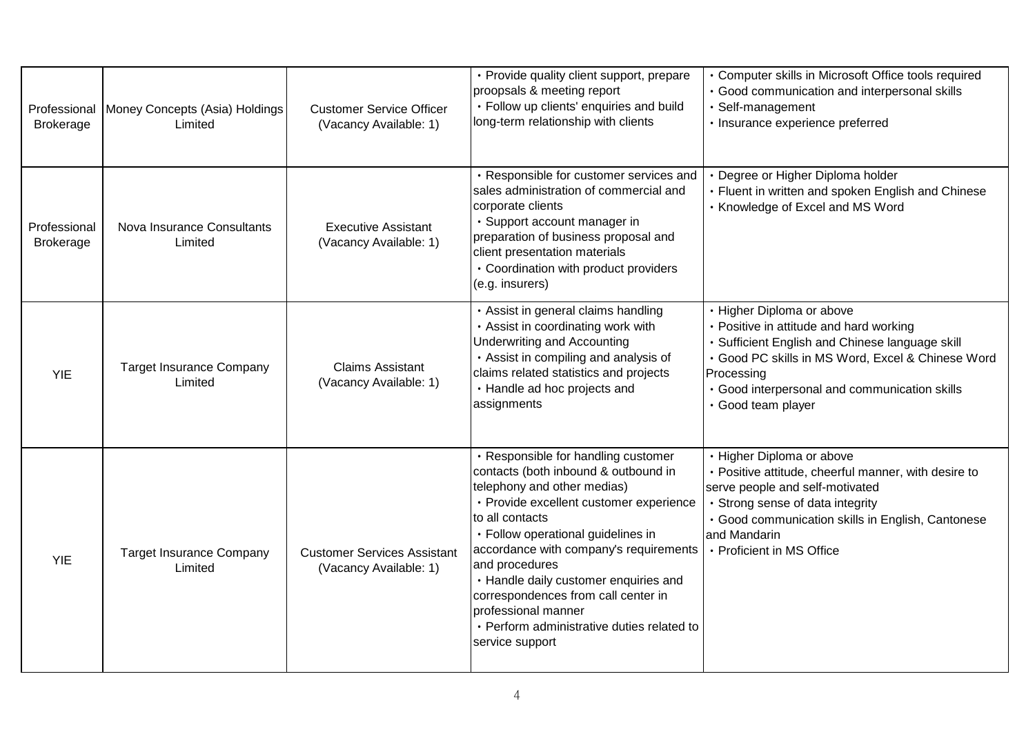| Professional<br><b>Brokerage</b> | Money Concepts (Asia) Holdings<br>Limited  | <b>Customer Service Officer</b><br>(Vacancy Available: 1)    | • Provide quality client support, prepare<br>proopsals & meeting report<br>· Follow up clients' enquiries and build<br>long-term relationship with clients                                                                                                                                                                                                                                                                                         | • Computer skills in Microsoft Office tools required<br>· Good communication and interpersonal skills<br>· Self-management<br>· Insurance experience preferred                                                                                                  |
|----------------------------------|--------------------------------------------|--------------------------------------------------------------|----------------------------------------------------------------------------------------------------------------------------------------------------------------------------------------------------------------------------------------------------------------------------------------------------------------------------------------------------------------------------------------------------------------------------------------------------|-----------------------------------------------------------------------------------------------------------------------------------------------------------------------------------------------------------------------------------------------------------------|
| Professional<br><b>Brokerage</b> | Nova Insurance Consultants<br>Limited      | <b>Executive Assistant</b><br>(Vacancy Available: 1)         | · Responsible for customer services and<br>sales administration of commercial and<br>corporate clients<br>· Support account manager in<br>preparation of business proposal and<br>client presentation materials<br>• Coordination with product providers<br>(e.g. insurers)                                                                                                                                                                        | Degree or Higher Diploma holder<br>• Fluent in written and spoken English and Chinese<br>• Knowledge of Excel and MS Word                                                                                                                                       |
| <b>YIE</b>                       | <b>Target Insurance Company</b><br>Limited | <b>Claims Assistant</b><br>(Vacancy Available: 1)            | · Assist in general claims handling<br>• Assist in coordinating work with<br><b>Underwriting and Accounting</b><br>· Assist in compiling and analysis of<br>claims related statistics and projects<br>· Handle ad hoc projects and<br>assignments                                                                                                                                                                                                  | · Higher Diploma or above<br>• Positive in attitude and hard working<br>Sufficient English and Chinese language skill<br>· Good PC skills in MS Word, Excel & Chinese Word<br>Processing<br>· Good interpersonal and communication skills<br>· Good team player |
| <b>YIE</b>                       | <b>Target Insurance Company</b><br>Limited | <b>Customer Services Assistant</b><br>(Vacancy Available: 1) | · Responsible for handling customer<br>contacts (both inbound & outbound in<br>telephony and other medias)<br>· Provide excellent customer experience<br>to all contacts<br>· Follow operational guidelines in<br>accordance with company's requirements<br>and procedures<br>• Handle daily customer enquiries and<br>correspondences from call center in<br>professional manner<br>• Perform administrative duties related to<br>service support | · Higher Diploma or above<br>• Positive attitude, cheerful manner, with desire to<br>serve people and self-motivated<br>· Strong sense of data integrity<br>· Good communication skills in English, Cantonese<br>and Mandarin<br>• Proficient in MS Office      |